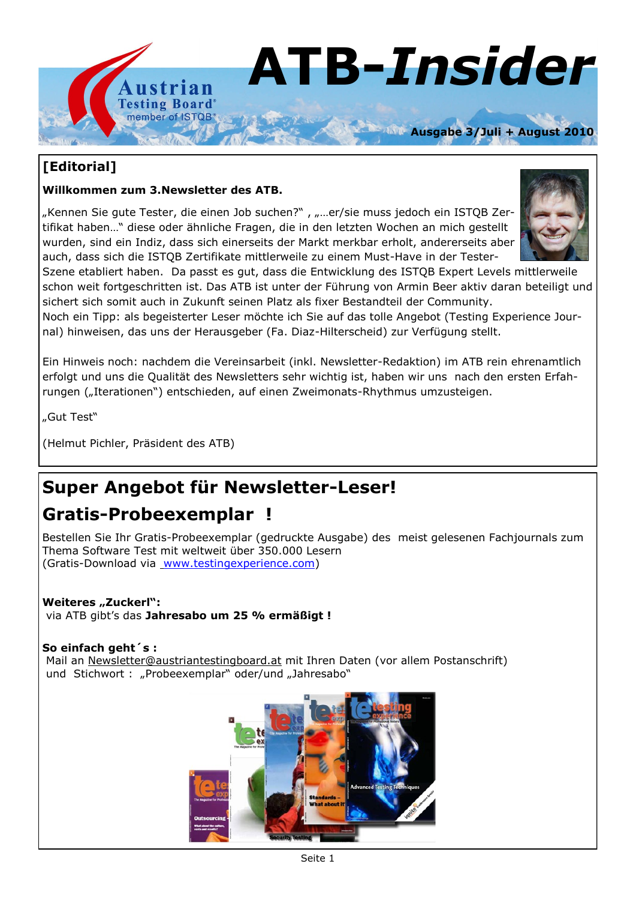

### **[Editorial]**

#### **Willkommen zum 3.Newsletter des ATB.**

"Kennen Sie gute Tester, die einen Job suchen?", "...er/sie muss jedoch ein ISTQB Zertifikat haben…" diese oder ähnliche Fragen, die in den letzten Wochen an mich gestellt wurden, sind ein Indiz, dass sich einerseits der Markt merkbar erholt, andererseits aber auch, dass sich die ISTQB Zertifikate mittlerweile zu einem Must-Have in der Tester-



Szene etabliert haben. Da passt es gut, dass die Entwicklung des ISTQB Expert Levels mittlerweile schon weit fortgeschritten ist. Das ATB ist unter der Führung von Armin Beer aktiv daran beteiligt und sichert sich somit auch in Zukunft seinen Platz als fixer Bestandteil der Community.

Noch ein Tipp: als begeisterter Leser möchte ich Sie auf das tolle Angebot (Testing Experience Journal) hinweisen, das uns der Herausgeber (Fa. Diaz-Hilterscheid) zur Verfügung stellt.

Ein Hinweis noch: nachdem die Vereinsarbeit (inkl. Newsletter-Redaktion) im ATB rein ehrenamtlich erfolgt und uns die Qualität des Newsletters sehr wichtig ist, haben wir uns nach den ersten Erfahrungen ("Iterationen") entschieden, auf einen Zweimonats-Rhythmus umzusteigen.

"Gut Test"

(Helmut Pichler, Präsident des ATB)

### **Super Angebot für Newsletter-Leser!**

### **Gratis-Probeexemplar !**

Bestellen Sie Ihr Gratis-Probeexemplar (gedruckte Ausgabe) des meist gelesenen Fachjournals zum Thema Software Test mit weltweit über 350.000 Lesern (Gratis-Download via [www.testingexperience.com\)](http://www.testingexperience.com)

#### Weiteres "Zuckerl": via ATB gibt's das **Jahresabo um 25 % ermäßigt !**

#### **So einfach geht´s :**

Mail an [Newsletter@austriantestingboard.at](mailto:Newsletter@austriantestingboard.at) mit Ihren Daten (vor allem Postanschrift) und Stichwort : "Probeexemplar" oder/und "Jahresabo"

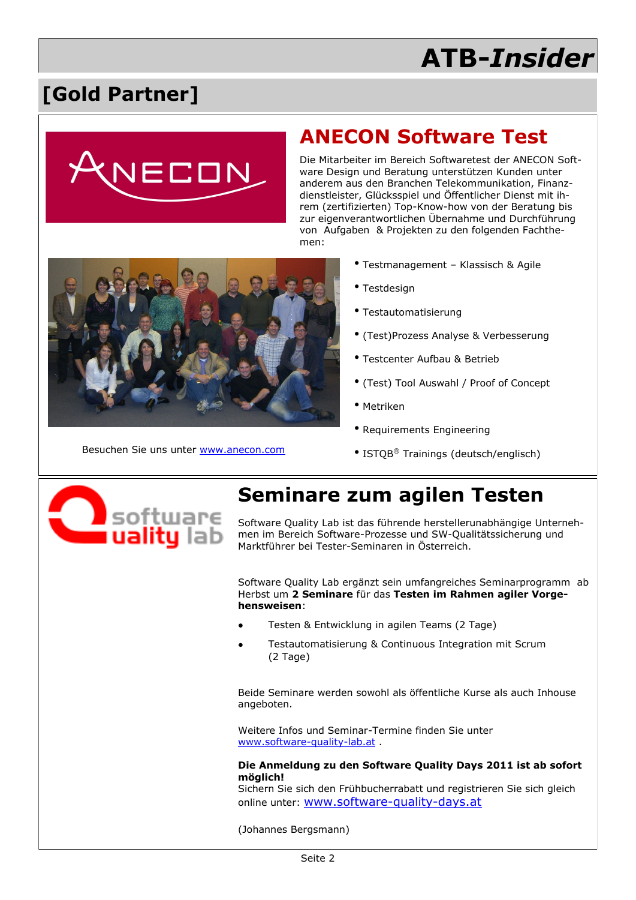## **[Gold Partner]**



## **ANECON Software Test**

Die Mitarbeiter im Bereich Softwaretest der ANECON Software Design und Beratung unterstützen Kunden unter anderem aus den Branchen Telekommunikation, Finanzdienstleister, Glücksspiel und Öffentlicher Dienst mit ihrem (zertifizierten) Top-Know-how von der Beratung bis zur eigenverantwortlichen Übernahme und Durchführung von Aufgaben & Projekten zu den folgenden Fachthemen:



- Testdesign
- Testautomatisierung
- (Test)Prozess Analyse & Verbesserung
- Testcenter Aufbau & Betrieb
- (Test) Tool Auswahl / Proof of Concept
- Metriken
- Requirements Engineering
- Besuchen Sie uns unter [www.anecon.com](http://www.anecon.com) ISTQB® Trainings (deutsch/englisch)



## **Seminare zum agilen Testen**

Software Quality Lab ist das führende herstellerunabhängige Unternehmen im Bereich Software-Prozesse und SW-Qualitätssicherung und Marktführer bei Tester-Seminaren in Österreich.

Software Quality Lab ergänzt sein umfangreiches Seminarprogramm ab Herbst um **2 Seminare** für das **Testen im Rahmen agiler Vorgehensweisen**:

- Testen & Entwicklung in agilen Teams (2 Tage)
- Testautomatisierung & Continuous Integration mit Scrum (2 Tage)

Beide Seminare werden sowohl als öffentliche Kurse als auch Inhouse angeboten.

Weitere Infos und Seminar-Termine finden Sie unter [www.software-quality-lab.at](http://www.software-quality-lab.at) .

#### **Die Anmeldung zu den Software Quality Days 2011 ist ab sofort möglich!**

Sichern Sie sich den Frühbucherrabatt und registrieren Sie sich gleich online unter: [www.software-quality-days.at](http://www.software-quality-days.at)

(Johannes Bergsmann)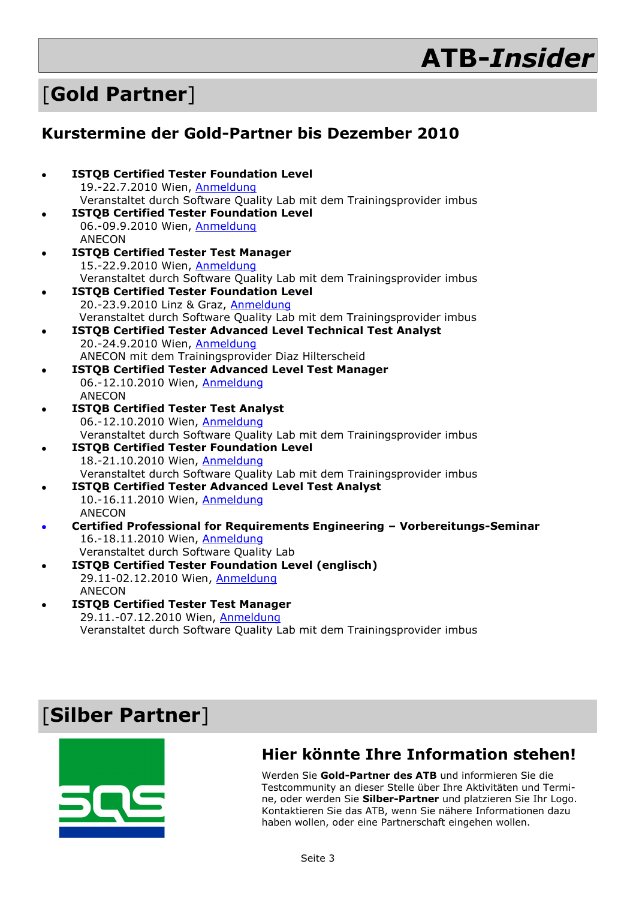## [**Gold Partner**]

### **Kurstermine der Gold-Partner bis Dezember 2010**

|  | <b>ISTQB Certified Tester Foundation Level</b><br>19.-22.7.2010 Wien, Anmeldung                           |
|--|-----------------------------------------------------------------------------------------------------------|
|  | Veranstaltet durch Software Quality Lab mit dem Trainingsprovider imbus                                   |
|  | <b>ISTQB Certified Tester Foundation Level</b>                                                            |
|  | 06.-09.9.2010 Wien, Anmeldung                                                                             |
|  | <b>ANECON</b>                                                                                             |
|  | <b>ISTQB Certified Tester Test Manager</b>                                                                |
|  | 15.-22.9.2010 Wien, Anmeldung                                                                             |
|  | Veranstaltet durch Software Quality Lab mit dem Trainingsprovider imbus                                   |
|  | <b>ISTQB Certified Tester Foundation Level</b>                                                            |
|  | 20.-23.9.2010 Linz & Graz, Anmeldung                                                                      |
|  | Veranstaltet durch Software Quality Lab mit dem Trainingsprovider imbus                                   |
|  | <b>ISTQB Certified Tester Advanced Level Technical Test Analyst</b>                                       |
|  | 20.-24.9.2010 Wien, Anmeldung                                                                             |
|  | ANECON mit dem Trainingsprovider Diaz Hilterscheid                                                        |
|  | <b>ISTQB Certified Tester Advanced Level Test Manager</b>                                                 |
|  | 06.-12.10.2010 Wien, Anmeldung                                                                            |
|  | <b>ANECON</b>                                                                                             |
|  | <b>ISTQB Certified Tester Test Analyst</b>                                                                |
|  | 06.-12.10.2010 Wien, Anmeldung<br>Veranstaltet durch Software Quality Lab mit dem Trainingsprovider imbus |
|  | <b>ISTQB Certified Tester Foundation Level</b>                                                            |
|  | 18.-21.10.2010 Wien, Anmeldung                                                                            |
|  | Veranstaltet durch Software Quality Lab mit dem Trainingsprovider imbus                                   |
|  | <b>ISTQB Certified Tester Advanced Level Test Analyst</b>                                                 |
|  | 10.-16.11.2010 Wien, Anmeldung                                                                            |
|  | <b>ANECON</b>                                                                                             |
|  | Certified Professional for Requirements Engineering - Vorbereitungs-Seminar                               |
|  | 16.-18.11.2010 Wien, Anmeldung                                                                            |
|  | Veranstaltet durch Software Quality Lab                                                                   |
|  | <b>ISTQB Certified Tester Foundation Level (englisch)</b>                                                 |
|  | 29.11-02.12.2010 Wien, Anmeldung                                                                          |
|  | <b>ANECON</b>                                                                                             |
|  |                                                                                                           |

**ISTQB Certified Tester Test Manager** 29.11.-07.12.2010 Wien, [Anmeldung](http://www.software-quality-lab.at/swql/seminare-events/veranstaltungs-ansichten/veranstaltung-details.html?tx_seminars_pi1%5BshowUid%5D=92) Veranstaltet durch Software Quality Lab mit dem Trainingsprovider imbus

## [**Silber Partner**]



### **Hier könnte Ihre Information stehen!**

Werden Sie **Gold-Partner des ATB** und informieren Sie die Testcommunity an dieser Stelle über Ihre Aktivitäten und Termine, oder werden Sie **Silber-Partner** und platzieren Sie Ihr Logo. Kontaktieren Sie das ATB, wenn Sie nähere Informationen dazu haben wollen, oder eine Partnerschaft eingehen wollen.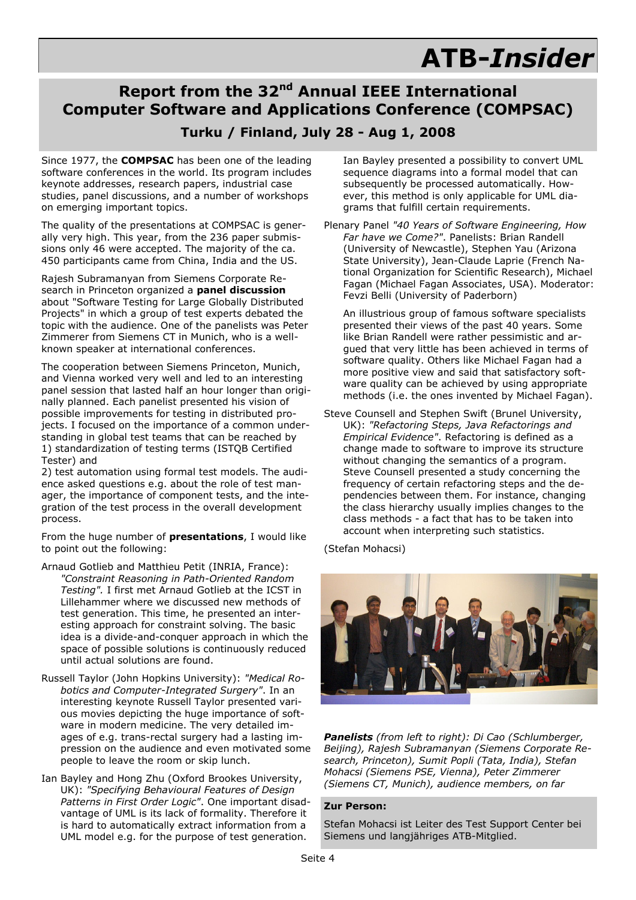### **Report from the 32nd Annual IEEE International Computer Software and Applications Conference (COMPSAC)**

### **Turku / Finland, July 28 - Aug 1, 2008**

Since 1977, the **COMPSAC** has been one of the leading software conferences in the world. Its program includes keynote addresses, research papers, industrial case studies, panel discussions, and a number of workshops on emerging important topics.

The quality of the presentations at COMPSAC is generally very high. This year, from the 236 paper submissions only 46 were accepted. The majority of the ca. 450 participants came from China, India and the US.

Rajesh Subramanyan from Siemens Corporate Research in Princeton organized a **panel discussion** about "Software Testing for Large Globally Distributed Projects" in which a group of test experts debated the topic with the audience. One of the panelists was Peter Zimmerer from Siemens CT in Munich, who is a wellknown speaker at international conferences.

The cooperation between Siemens Princeton, Munich, and Vienna worked very well and led to an interesting panel session that lasted half an hour longer than originally planned. Each panelist presented his vision of possible improvements for testing in distributed projects. I focused on the importance of a common understanding in global test teams that can be reached by 1) standardization of testing terms (ISTQB Certified Tester) and

2) test automation using formal test models. The audience asked questions e.g. about the role of test manager, the importance of component tests, and the integration of the test process in the overall development process.

From the huge number of **presentations**, I would like to point out the following:

Arnaud Gotlieb and Matthieu Petit (INRIA, France): *"Constraint Reasoning in Path-Oriented Random Testing".* I first met Arnaud Gotlieb at the ICST in Lillehammer where we discussed new methods of test generation. This time, he presented an interesting approach for constraint solving. The basic idea is a divide-and-conquer approach in which the space of possible solutions is continuously reduced until actual solutions are found.

- Russell Taylor (John Hopkins University): *"Medical Robotics and Computer-Integrated Surgery"*. In an interesting keynote Russell Taylor presented various movies depicting the huge importance of software in modern medicine. The very detailed images of e.g. trans-rectal surgery had a lasting impression on the audience and even motivated some people to leave the room or skip lunch.
- Ian Bayley and Hong Zhu (Oxford Brookes University, UK): *"Specifying Behavioural Features of Design Patterns in First Order Logic"*. One important disadvantage of UML is its lack of formality. Therefore it is hard to automatically extract information from a UML model e.g. for the purpose of test generation.

Ian Bayley presented a possibility to convert UML sequence diagrams into a formal model that can subsequently be processed automatically. However, this method is only applicable for UML diagrams that fulfill certain requirements.

Plenary Panel *"40 Years of Software Engineering, How Far have we Come?"*. Panelists: Brian Randell (University of Newcastle), Stephen Yau (Arizona State University), Jean-Claude Laprie (French National Organization for Scientific Research), Michael Fagan (Michael Fagan Associates, USA). Moderator: Fevzi Belli (University of Paderborn)

An illustrious group of famous software specialists presented their views of the past 40 years. Some like Brian Randell were rather pessimistic and argued that very little has been achieved in terms of software quality. Others like Michael Fagan had a more positive view and said that satisfactory software quality can be achieved by using appropriate methods (i.e. the ones invented by Michael Fagan).

Steve Counsell and Stephen Swift (Brunel University, UK): *"Refactoring Steps, Java Refactorings and Empirical Evidence"*. Refactoring is defined as a change made to software to improve its structure without changing the semantics of a program. Steve Counsell presented a study concerning the frequency of certain refactoring steps and the dependencies between them. For instance, changing the class hierarchy usually implies changes to the class methods - a fact that has to be taken into account when interpreting such statistics.

(Stefan Mohacsi)



*Panelists (from left to right): Di Cao (Schlumberger, Beijing), Rajesh Subramanyan (Siemens Corporate Research, Princeton), Sumit Popli (Tata, India), Stefan Mohacsi (Siemens PSE, Vienna), Peter Zimmerer (Siemens CT, Munich), audience members, on far* 

#### **Zur Person:**

Stefan Mohacsi ist Leiter des Test Support Center bei Siemens und langjähriges ATB-Mitglied.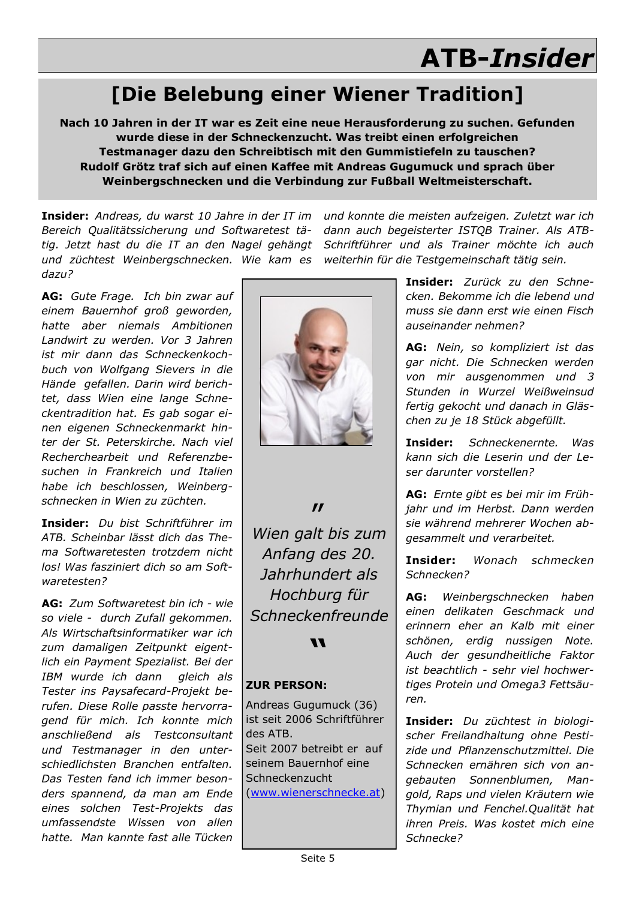# **[Die Belebung einer Wiener Tradition]**

**Nach 10 Jahren in der IT war es Zeit eine neue Herausforderung zu suchen. Gefunden wurde diese in der Schneckenzucht. Was treibt einen erfolgreichen Testmanager dazu den Schreibtisch mit den Gummistiefeln zu tauschen? Rudolf Grötz traf sich auf einen Kaffee mit Andreas Gugumuck und sprach über Weinbergschnecken und die Verbindung zur Fußball Weltmeisterschaft.**

**Insider:** *Andreas, du warst 10 Jahre in der IT im Bereich Qualitätssicherung und Softwaretest tätig. Jetzt hast du die IT an den Nagel gehängt Schriftführer und als Trainer möchte ich auch und züchtest Weinbergschnecken. Wie kam es dazu?*

**AG:** *Gute Frage. Ich bin zwar auf einem Bauernhof groß geworden, hatte aber niemals Ambitionen Landwirt zu werden. Vor 3 Jahren ist mir dann das Schneckenkochbuch von Wolfgang Sievers in die Hände gefallen. Darin wird berichtet, dass Wien eine lange Schneckentradition hat. Es gab sogar einen eigenen Schneckenmarkt hinter der St. Peterskirche. Nach viel Recherchearbeit und Referenzbesuchen in Frankreich und Italien habe ich beschlossen, Weinbergschnecken in Wien zu züchten.*

**Insider:** *Du bist Schriftführer im ATB. Scheinbar lässt dich das Thema Softwaretesten trotzdem nicht los! Was fasziniert dich so am Softwaretesten?*

**AG:** *Zum Softwaretest bin ich - wie so viele - durch Zufall gekommen. Als Wirtschaftsinformatiker war ich zum damaligen Zeitpunkt eigentlich ein Payment Spezialist. Bei der IBM wurde ich dann gleich als Tester ins Paysafecard-Projekt berufen. Diese Rolle passte hervorragend für mich. Ich konnte mich anschließend als Testconsultant und Testmanager in den unterschiedlichsten Branchen entfalten. Das Testen fand ich immer besonders spannend, da man am Ende eines solchen Test-Projekts das umfassendste Wissen von allen hatte. Man kannte fast alle Tücken* 



 $\boldsymbol{\prime\prime}$ 

*Wien galt bis zum Anfang des 20. Jahrhundert als Hochburg für Schneckenfreunde*

**"**

#### **ZUR PERSON:**

Andreas Gugumuck (36) ist seit 2006 Schriftführer des ATB. Seit 2007 betreibt er auf seinem Bauernhof eine **Schneckenzucht** ([www.wienerschnecke.at\)](http://www.wienerschnecke.at) 

*und konnte die meisten aufzeigen. Zuletzt war ich dann auch begeisterter ISTQB Trainer. Als ATBweiterhin für die Testgemeinschaft tätig sein.*

> **Insider:** *Zurück zu den Schnecken. Bekomme ich die lebend und muss sie dann erst wie einen Fisch auseinander nehmen?*

> **AG:** *Nein, so kompliziert ist das gar nicht. Die Schnecken werden von mir ausgenommen und 3 Stunden in Wurzel Weißweinsud fertig gekocht und danach in Gläschen zu je 18 Stück abgefüllt.*

> **Insider:** *Schneckenernte. Was kann sich die Leserin und der Leser darunter vorstellen?*

> **AG:** *Ernte gibt es bei mir im Frühjahr und im Herbst. Dann werden sie während mehrerer Wochen abgesammelt und verarbeitet.*

> **Insider:** *Wonach schmecken Schnecken?*

> **AG:** *Weinbergschnecken haben einen delikaten Geschmack und erinnern eher an Kalb mit einer schönen, erdig nussigen Note. Auch der gesundheitliche Faktor ist beachtlich - sehr viel hochwertiges Protein und Omega3 Fettsäuren.*

> **Insider:** *Du züchtest in biologischer Freilandhaltung ohne Pestizide und Pflanzenschutzmittel. Die Schnecken ernähren sich von angebauten Sonnenblumen, Mangold, Raps und vielen Kräutern wie Thymian und Fenchel.Qualität hat ihren Preis. Was kostet mich eine Schnecke?*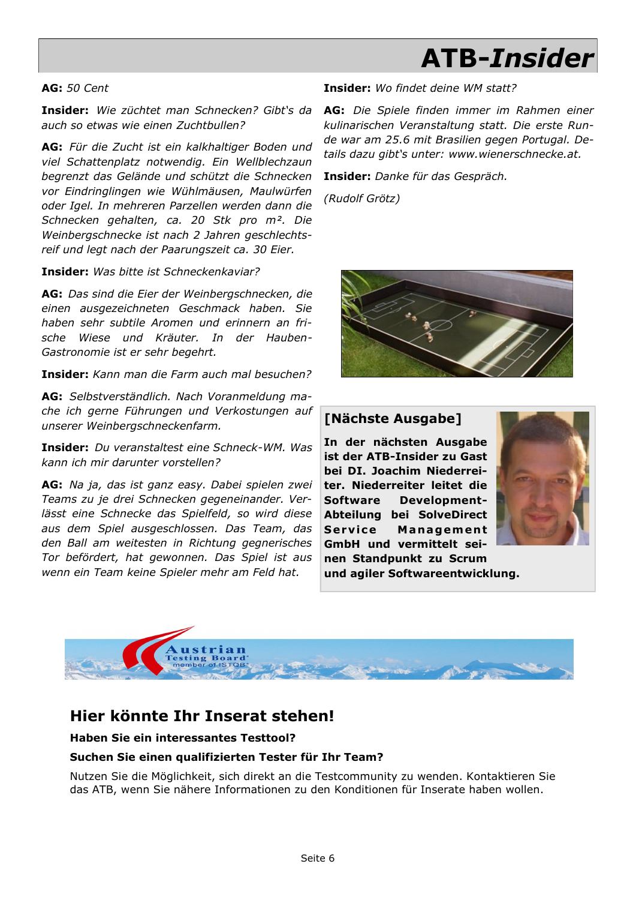#### **AG:** *50 Cent*

**Insider:** *Wie züchtet man Schnecken? Gibt's da auch so etwas wie einen Zuchtbullen?*

**AG:** *Für die Zucht ist ein kalkhaltiger Boden und viel Schattenplatz notwendig. Ein Wellblechzaun begrenzt das Gelände und schützt die Schnecken vor Eindringlingen wie Wühlmäusen, Maulwürfen oder Igel. In mehreren Parzellen werden dann die Schnecken gehalten, ca. 20 Stk pro m². Die Weinbergschnecke ist nach 2 Jahren geschlechtsreif und legt nach der Paarungszeit ca. 30 Eier.*

**Insider:** *Was bitte ist Schneckenkaviar?*

**AG:** *Das sind die Eier der Weinbergschnecken, die einen ausgezeichneten Geschmack haben. Sie haben sehr subtile Aromen und erinnern an frische Wiese und Kräuter. In der Hauben-Gastronomie ist er sehr begehrt.*

**Insider:** *Kann man die Farm auch mal besuchen?*

**AG:** *Selbstverständlich. Nach Voranmeldung mache ich gerne Führungen und Verkostungen auf unserer Weinbergschneckenfarm.*

**Insider:** *Du veranstaltest eine Schneck-WM. Was kann ich mir darunter vorstellen?*

**AG:** *Na ja, das ist ganz easy. Dabei spielen zwei Teams zu je drei Schnecken gegeneinander. Verlässt eine Schnecke das Spielfeld, so wird diese aus dem Spiel ausgeschlossen. Das Team, das den Ball am weitesten in Richtung gegnerisches Tor befördert, hat gewonnen. Das Spiel ist aus wenn ein Team keine Spieler mehr am Feld hat.*

#### **Insider:** *Wo findet deine WM statt?*

**AG:** *Die Spiele finden immer im Rahmen einer kulinarischen Veranstaltung statt. Die erste Runde war am 25.6 mit Brasilien gegen Portugal. Details dazu gibt's unter: www.wienerschnecke.at.* 

**Insider:** *Danke für das Gespräch.*

*(Rudolf Grötz)*



#### **[Nächste Ausgabe]**

**In der nächsten Ausgabe ist der ATB-Insider zu Gast bei DI. Joachim Niederreiter. Niederreiter leitet die Software Development-Abteilung bei SolveDirect Service Management GmbH und vermittelt seinen Standpunkt zu Scrum** 



**und agiler Softwareentwicklung.**



### **Hier könnte Ihr Inserat stehen!**

**Haben Sie ein interessantes Testtool?**

#### **Suchen Sie einen qualifizierten Tester für Ihr Team?**

Nutzen Sie die Möglichkeit, sich direkt an die Testcommunity zu wenden. Kontaktieren Sie das ATB, wenn Sie nähere Informationen zu den Konditionen für Inserate haben wollen.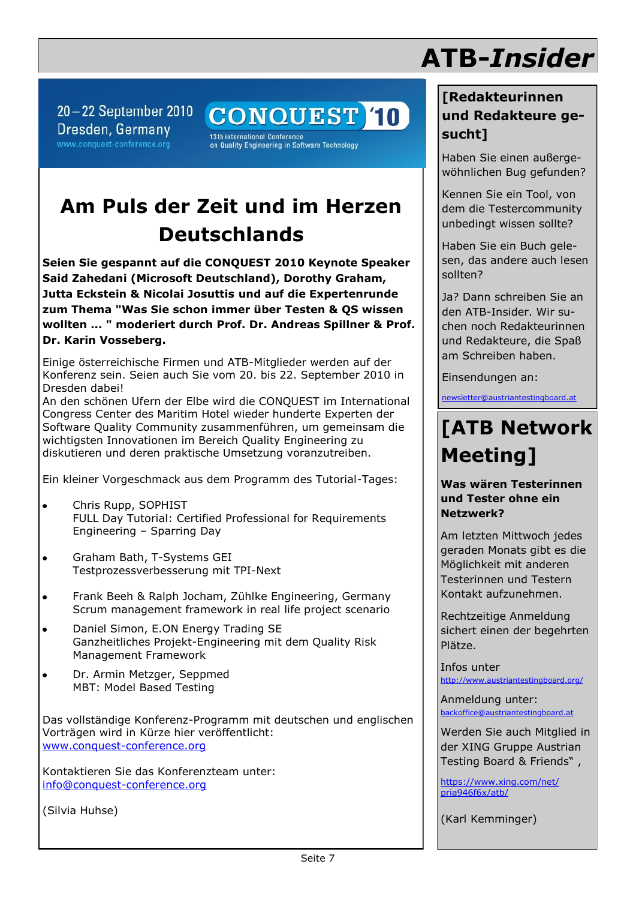$20-22$  September 2010 Dresden, Germany www.conquest-conference.org

**CONQUEST 10** 

13th international Conference<br>on Quality Engineering in Software Technology

# **Am Puls der Zeit und im Herzen Deutschlands**

**Seien Sie gespannt auf die CONQUEST 2010 Keynote Speaker Said Zahedani (Microsoft Deutschland), Dorothy Graham, Jutta Eckstein & Nicolai Josuttis und auf die Expertenrunde zum Thema "Was Sie schon immer über Testen & QS wissen wollten ... " moderiert durch Prof. Dr. Andreas Spillner & Prof. Dr. Karin Vosseberg.** 

Einige österreichische Firmen und ATB-Mitglieder werden auf der Konferenz sein. Seien auch Sie vom 20. bis 22. September 2010 in Dresden dabei!

An den schönen Ufern der Elbe wird die CONQUEST im International Congress Center des Maritim Hotel wieder hunderte Experten der Software Quality Community zusammenführen, um gemeinsam die wichtigsten Innovationen im Bereich Quality Engineering zu diskutieren und deren praktische Umsetzung voranzutreiben.

Ein kleiner Vorgeschmack aus dem Programm des Tutorial-Tages:

- Chris Rupp, SOPHIST  $\bullet$ FULL Day Tutorial: Certified Professional for Requirements Engineering – Sparring Day
- Graham Bath, T-Systems GEI  $\bullet$ Testprozessverbesserung mit TPI-Next
- Frank Beeh & Ralph Jocham, Zühlke Engineering, Germany Scrum management framework in real life project scenario
- Daniel Simon, E.ON Energy Trading SE Ganzheitliches Projekt-Engineering mit dem Quality Risk Management Framework
- Dr. Armin Metzger, Seppmed MBT: Model Based Testing

Das vollständige Konferenz-Programm mit deutschen und englischen Vorträgen wird in Kürze hier veröffentlicht: [www.conquest-conference.org](http://www.conquest-conference.org/)

Kontaktieren Sie das Konferenzteam unter: [info@conquest-conference.org](mailto:info@conquest.conference.orf)

(Silvia Huhse)

## **[Redakteurinnen und Redakteure ge-**

**ATB-***Insider*

**sucht]** Haben Sie einen außergewöhnlichen Bug gefunden?

Kennen Sie ein Tool, von dem die Testercommunity unbedingt wissen sollte?

Haben Sie ein Buch gelesen, das andere auch lesen sollten?

Ja? Dann schreiben Sie an den ATB-Insider. Wir suchen noch Redakteurinnen und Redakteure, die Spaß am Schreiben haben.

Einsendungen an:

[newsletter@austriantestingboard.at](mailto:newsletter@austriantestingboard.at)

# **[ATB Network Meeting]**

**Was wären Testerinnen und Tester ohne ein Netzwerk?**

Kontakt aufzunehmen. Am letzten Mittwoch jedes geraden Monats gibt es die Möglichkeit mit anderen Testerinnen und Testern

Rechtzeitige Anmeldung sichert einen der begehrten Plätze.

Infos unter <http://www.austriantestingboard.org/>

Anmeldung unter: [backoffice@austriantestingboard.at](mailto:backoffice@austriantestingboard.at)

Werden Sie auch Mitglied in der XING Gruppe Austrian Testing Board & Friends" ,

[https://www.xing.com/net/](https://www.xing.com/net/pria946f6x/atb/) [pria946f6x/atb/](https://www.xing.com/net/pria946f6x/atb/)

(Karl Kemminger)